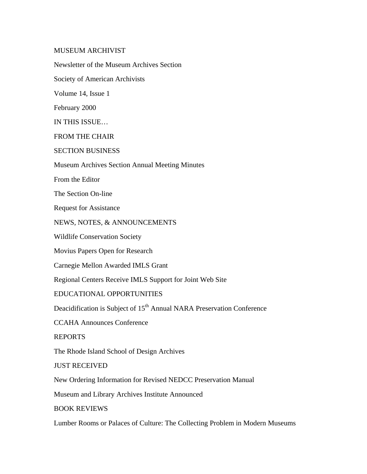MUSEUM ARCHIVIST Newsletter of the Museum Archives Section Society of American Archivists Volume 14, Issue 1 February 2000 IN THIS ISSUE… FROM THE CHAIR SECTION BUSINESS Museum Archives Section Annual Meeting Minutes From the Editor The Section On-line Request for Assistance NEWS, NOTES, & ANNOUNCEMENTS Wildlife Conservation Society Movius Papers Open for Research Carnegie Mellon Awarded IMLS Grant Regional Centers Receive IMLS Support for Joint Web Site EDUCATIONAL OPPORTUNITIES Deacidification is Subject of 15<sup>th</sup> Annual NARA Preservation Conference CCAHA Announces Conference REPORTS The Rhode Island School of Design Archives JUST RECEIVED New Ordering Information for Revised NEDCC Preservation Manual

Museum and Library Archives Institute Announced

BOOK REVIEWS

Lumber Rooms or Palaces of Culture: The Collecting Problem in Modern Museums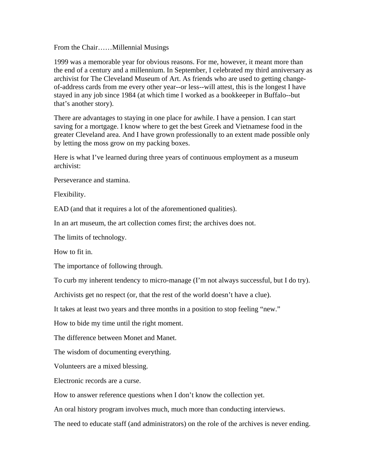From the Chair……Millennial Musings

1999 was a memorable year for obvious reasons. For me, however, it meant more than the end of a century and a millennium. In September, I celebrated my third anniversary as archivist for The Cleveland Museum of Art. As friends who are used to getting changeof-address cards from me every other year--or less--will attest, this is the longest I have stayed in any job since 1984 (at which time I worked as a bookkeeper in Buffalo--but that's another story).

There are advantages to staying in one place for awhile. I have a pension. I can start saving for a mortgage. I know where to get the best Greek and Vietnamese food in the greater Cleveland area. And I have grown professionally to an extent made possible only by letting the moss grow on my packing boxes.

Here is what I've learned during three years of continuous employment as a museum archivist:

Perseverance and stamina.

Flexibility.

EAD (and that it requires a lot of the aforementioned qualities).

In an art museum, the art collection comes first; the archives does not.

The limits of technology.

How to fit in.

The importance of following through.

To curb my inherent tendency to micro-manage (I'm not always successful, but I do try).

Archivists get no respect (or, that the rest of the world doesn't have a clue).

It takes at least two years and three months in a position to stop feeling "new."

How to bide my time until the right moment.

The difference between Monet and Manet.

The wisdom of documenting everything.

Volunteers are a mixed blessing.

Electronic records are a curse.

How to answer reference questions when I don't know the collection yet.

An oral history program involves much, much more than conducting interviews.

The need to educate staff (and administrators) on the role of the archives is never ending.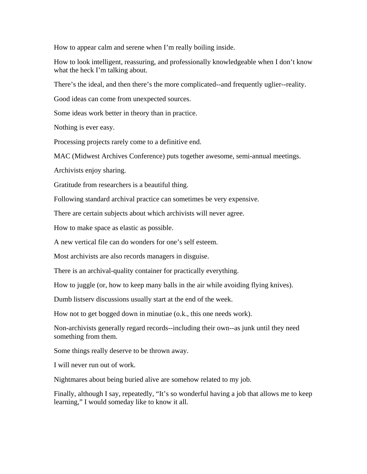How to appear calm and serene when I'm really boiling inside.

How to look intelligent, reassuring, and professionally knowledgeable when I don't know what the heck I'm talking about.

There's the ideal, and then there's the more complicated--and frequently uglier--reality.

Good ideas can come from unexpected sources.

Some ideas work better in theory than in practice.

Nothing is ever easy.

Processing projects rarely come to a definitive end.

MAC (Midwest Archives Conference) puts together awesome, semi-annual meetings.

Archivists enjoy sharing.

Gratitude from researchers is a beautiful thing.

Following standard archival practice can sometimes be very expensive.

There are certain subjects about which archivists will never agree.

How to make space as elastic as possible.

A new vertical file can do wonders for one's self esteem.

Most archivists are also records managers in disguise.

There is an archival-quality container for practically everything.

How to juggle (or, how to keep many balls in the air while avoiding flying knives).

Dumb listserv discussions usually start at the end of the week.

How not to get bogged down in minutiae (o.k., this one needs work).

Non-archivists generally regard records--including their own--as junk until they need something from them.

Some things really deserve to be thrown away.

I will never run out of work.

Nightmares about being buried alive are somehow related to my job.

Finally, although I say, repeatedly, "It's so wonderful having a job that allows me to keep learning," I would someday like to know it all.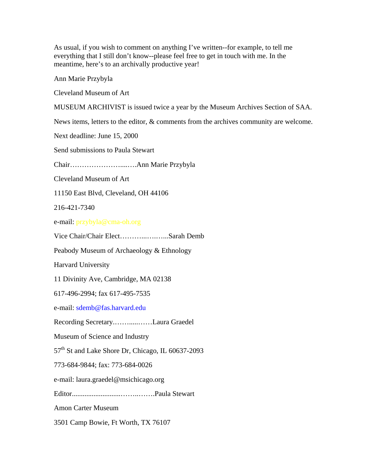As usual, if you wish to comment on anything I've written--for example, to tell me everything that I still don't know--please feel free to get in touch with me. In the meantime, here's to an archivally productive year!

Ann Marie Przybyla

Cleveland Museum of Art

MUSEUM ARCHIVIST is issued twice a year by the Museum Archives Section of SAA.

News items, letters to the editor, & comments from the archives community are welcome.

Next deadline: June 15, 2000

Send submissions to Paula Stewart

Chair…………………....….Ann Marie Przybyla

Cleveland Museum of Art

11150 East Blvd, Cleveland, OH 44106

216-421-7340

e-mail: przybyla@cma-oh.org

Vice Chair/Chair Elect………...….…...Sarah Demb

Peabody Museum of Archaeology & Ethnology

Harvard University

11 Divinity Ave, Cambridge, MA 02138

617-496-2994; fax 617-495-7535

e-mail: sdemb@fas.harvard.edu

Recording Secretary.…….....……Laura Graedel

Museum of Science and Industry

 $57<sup>th</sup>$  St and Lake Shore Dr, Chicago, IL 60637-2093

773-684-9844; fax: 773-684-0026

e-mail: laura.graedel@msichicago.org

Editor...........................……..…….Paula Stewart

Amon Carter Museum

3501 Camp Bowie, Ft Worth, TX 76107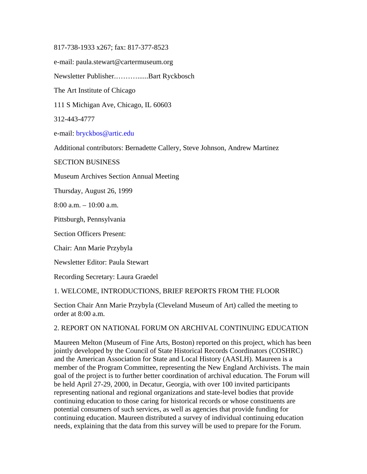#### 817-738-1933 x267; fax: 817-377-8523

e-mail: paula.stewart@cartermuseum.org

Newsletter Publisher.………......Bart Ryckbosch

The Art Institute of Chicago

111 S Michigan Ave, Chicago, IL 60603

312-443-4777

e-mail: bryckbos@artic.edu

Additional contributors: Bernadette Callery, Steve Johnson, Andrew Martinez

SECTION BUSINESS

Museum Archives Section Annual Meeting

Thursday, August 26, 1999

8:00 a.m. – 10:00 a.m.

Pittsburgh, Pennsylvania

Section Officers Present:

Chair: Ann Marie Przybyla

Newsletter Editor: Paula Stewart

Recording Secretary: Laura Graedel

1. WELCOME, INTRODUCTIONS, BRIEF REPORTS FROM THE FLOOR

Section Chair Ann Marie Przybyla (Cleveland Museum of Art) called the meeting to order at 8:00 a.m.

#### 2. REPORT ON NATIONAL FORUM ON ARCHIVAL CONTINUING EDUCATION

Maureen Melton (Museum of Fine Arts, Boston) reported on this project, which has been jointly developed by the Council of State Historical Records Coordinators (COSHRC) and the American Association for State and Local History (AASLH). Maureen is a member of the Program Committee, representing the New England Archivists. The main goal of the project is to further better coordination of archival education. The Forum will be held April 27-29, 2000, in Decatur, Georgia, with over 100 invited participants representing national and regional organizations and state-level bodies that provide continuing education to those caring for historical records or whose constituents are potential consumers of such services, as well as agencies that provide funding for continuing education. Maureen distributed a survey of individual continuing education needs, explaining that the data from this survey will be used to prepare for the Forum.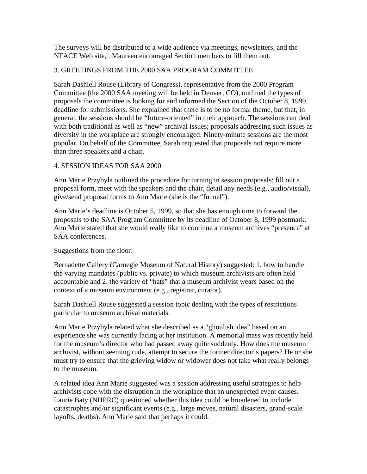The surveys will be distributed to a wide audience via meetings, newsletters, and the NFACE Web site, . Maureen encouraged Section members to fill them out.

# 3. GREETINGS FROM THE 2000 SAA PROGRAM COMMITTEE

Sarah Dashiell Rouse (Library of Congress), representative from the 2000 Program Committee (the 2000 SAA meeting will be held in Denver, CO), outlined the types of proposals the committee is looking for and informed the Section of the October 8, 1999 deadline for submissions. She explained that there is to be no formal theme, but that, in general, the sessions should be "future-oriented" in their approach. The sessions can deal with both traditional as well as "new" archival issues; proposals addressing such issues as diversity in the workplace are strongly encouraged. Ninety-minute sessions are the most popular. On behalf of the Committee, Sarah requested that proposals not require more than three speakers and a chair.

# 4. SESSION IDEAS FOR SAA 2000

Ann Marie Przybyla outlined the procedure for turning in session proposals: fill out a proposal form, meet with the speakers and the chair, detail any needs (e.g., audio/visual), give/send proposal forms to Ann Marie (she is the "funnel").

Ann Marie's deadline is October 5, 1999, so that she has enough time to forward the proposals to the SAA Program Committee by its deadline of October 8, 1999 postmark. Ann Marie stated that she would really like to continue a museum archives "presence" at SAA conferences.

# Suggestions from the floor:

Bernadette Callery (Carnegie Museum of Natural History) suggested: 1. how to handle the varying mandates (public vs. private) to which museum archivists are often held accountable and 2. the variety of "hats" that a museum archivist wears based on the context of a museum environment (e.g., registrar, curator).

Sarah Dashiell Rouse suggested a session topic dealing with the types of restrictions particular to museum archival materials.

Ann Marie Przybyla related what she described as a "ghoulish idea" based on an experience she was currently facing at her institution. A memorial mass was recently held for the museum's director who had passed away quite suddenly. How does the museum archivist, without seeming rude, attempt to secure the former director's papers? He or she must try to ensure that the grieving widow or widower does not take what really belongs to the museum.

A related idea Ann Marie suggested was a session addressing useful strategies to help archivists cope with the disruption in the workplace that an unexpected event causes. Laurie Baty (NHPRC) questioned whether this idea could be broadened to include catastrophes and/or significant events (e.g., large moves, natural disasters, grand-scale layoffs, deaths). Ann Marie said that perhaps it could.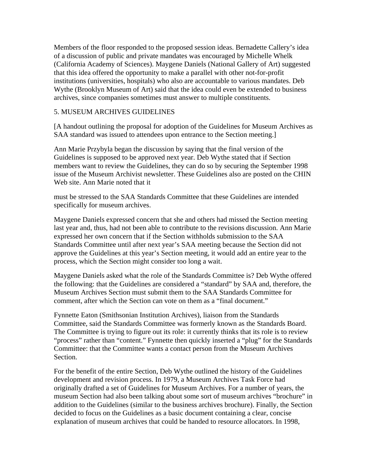Members of the floor responded to the proposed session ideas. Bernadette Callery's idea of a discussion of public and private mandates was encouraged by Michelle Whelk (California Academy of Sciences). Maygene Daniels (National Gallery of Art) suggested that this idea offered the opportunity to make a parallel with other not-for-profit institutions (universities, hospitals) who also are accountable to various mandates. Deb Wythe (Brooklyn Museum of Art) said that the idea could even be extended to business archives, since companies sometimes must answer to multiple constituents.

# 5. MUSEUM ARCHIVES GUIDELINES

[A handout outlining the proposal for adoption of the Guidelines for Museum Archives as SAA standard was issued to attendees upon entrance to the Section meeting.]

Ann Marie Przybyla began the discussion by saying that the final version of the Guidelines is supposed to be approved next year. Deb Wythe stated that if Section members want to review the Guidelines, they can do so by securing the September 1998 issue of the Museum Archivist newsletter. These Guidelines also are posted on the CHIN Web site. Ann Marie noted that it

must be stressed to the SAA Standards Committee that these Guidelines are intended specifically for museum archives.

Maygene Daniels expressed concern that she and others had missed the Section meeting last year and, thus, had not been able to contribute to the revisions discussion. Ann Marie expressed her own concern that if the Section withholds submission to the SAA Standards Committee until after next year's SAA meeting because the Section did not approve the Guidelines at this year's Section meeting, it would add an entire year to the process, which the Section might consider too long a wait.

Maygene Daniels asked what the role of the Standards Committee is? Deb Wythe offered the following: that the Guidelines are considered a "standard" by SAA and, therefore, the Museum Archives Section must submit them to the SAA Standards Committee for comment, after which the Section can vote on them as a "final document."

Fynnette Eaton (Smithsonian Institution Archives), liaison from the Standards Committee, said the Standards Committee was formerly known as the Standards Board. The Committee is trying to figure out its role: it currently thinks that its role is to review "process" rather than "content." Fynnette then quickly inserted a "plug" for the Standards Committee: that the Committee wants a contact person from the Museum Archives Section.

For the benefit of the entire Section, Deb Wythe outlined the history of the Guidelines development and revision process. In 1979, a Museum Archives Task Force had originally drafted a set of Guidelines for Museum Archives. For a number of years, the museum Section had also been talking about some sort of museum archives "brochure" in addition to the Guidelines (similar to the business archives brochure). Finally, the Section decided to focus on the Guidelines as a basic document containing a clear, concise explanation of museum archives that could be handed to resource allocators. In 1998,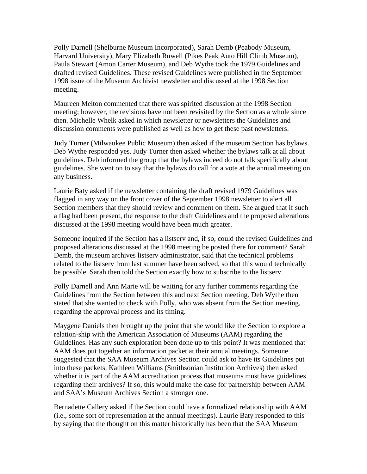Polly Darnell (Shelburne Museum Incorporated), Sarah Demb (Peabody Museum, Harvard University), Mary Elizabeth Ruwell (Pikes Peak Auto Hill Climb Museum), Paula Stewart (Amon Carter Museum), and Deb Wythe took the 1979 Guidelines and drafted revised Guidelines. These revised Guidelines were published in the September 1998 issue of the Museum Archivist newsletter and discussed at the 1998 Section meeting.

Maureen Melton commented that there was spirited discussion at the 1998 Section meeting; however, the revisions have not been revisited by the Section as a whole since then. Michelle Whelk asked in which newsletter or newsletters the Guidelines and discussion comments were published as well as how to get these past newsletters.

Judy Turner (Milwaukee Public Museum) then asked if the museum Section has bylaws. Deb Wythe responded yes. Judy Turner then asked whether the bylaws talk at all about guidelines. Deb informed the group that the bylaws indeed do not talk specifically about guidelines. She went on to say that the bylaws do call for a vote at the annual meeting on any business.

Laurie Baty asked if the newsletter containing the draft revised 1979 Guidelines was flagged in any way on the front cover of the September 1998 newsletter to alert all Section members that they should review and comment on them. She argued that if such a flag had been present, the response to the draft Guidelines and the proposed alterations discussed at the 1998 meeting would have been much greater.

Someone inquired if the Section has a listserv and, if so, could the revised Guidelines and proposed alterations discussed at the 1998 meeting be posted there for comment? Sarah Demb, the museum archives listserv administrator, said that the technical problems related to the listserv from last summer have been solved, so that this would technically be possible. Sarah then told the Section exactly how to subscribe to the listserv.

Polly Darnell and Ann Marie will be waiting for any further comments regarding the Guidelines from the Section between this and next Section meeting. Deb Wythe then stated that she wanted to check with Polly, who was absent from the Section meeting, regarding the approval process and its timing.

Maygene Daniels then brought up the point that she would like the Section to explore a relation-ship with the American Association of Museums (AAM) regarding the Guidelines. Has any such exploration been done up to this point? It was mentioned that AAM does put together an information packet at their annual meetings. Someone suggested that the SAA Museum Archives Section could ask to have its Guidelines put into these packets. Kathleen Williams (Smithsonian Institution Archives) then asked whether it is part of the AAM accreditation process that museums must have guidelines regarding their archives? If so, this would make the case for partnership between AAM and SAA's Museum Archives Section a stronger one.

Bernadette Callery asked if the Section could have a formalized relationship with AAM (i.e., some sort of representation at the annual meetings). Laurie Baty responded to this by saying that the thought on this matter historically has been that the SAA Museum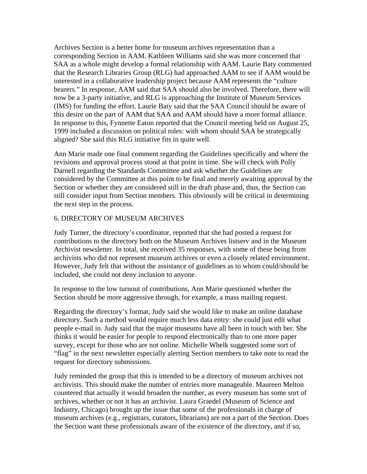Archives Section is a better home for museum archives representation than a corresponding Section in AAM. Kathleen Williams said she was more concerned that SAA as a whole might develop a formal relationship with AAM. Laurie Baty commented that the Research Libraries Group (RLG) had approached AAM to see if AAM would be interested in a collaborative leadership project because AAM represents the "culture bearers." In response, AAM said that SAA should also be involved. Therefore, there will now be a 3-party initiative, and RLG is approaching the Institute of Museum Services (IMS) for funding the effort. Laurie Baty said that the SAA Council should be aware of this desire on the part of AAM that SAA and AAM should have a more formal alliance. In response to this, Fynnette Eaton reported that the Council meeting held on August 25, 1999 included a discussion on political roles: with whom should SAA be strategically aligned? She said this RLG initiative fits in quite well.

Ann Marie made one final comment regarding the Guidelines specifically and where the revisions and approval process stood at that point in time. She will check with Polly Darnell regarding the Standards Committee and ask whether the Guidelines are considered by the Committee at this point to be final and merely awaiting approval by the Section or whether they are considered still in the draft phase and, thus, the Section can still consider input from Section members. This obviously will be critical in determining the next step in the process.

## 6. DIRECTORY OF MUSEUM ARCHIVES

Judy Turner, the directory's coordinator, reported that she had posted a request for contributions to the directory both on the Museum Archives listserv and in the Museum Archivist newsletter. In total, she received 35 responses, with some of these being from archivists who did not represent museum archives or even a closely related environment. However, Judy felt that without the assistance of guidelines as to whom could/should be included, she could not deny inclusion to anyone.

In response to the low turnout of contributions, Ann Marie questioned whether the Section should be more aggressive through, for example, a mass mailing request.

Regarding the directory's format, Judy said she would like to make an online database directory. Such a method would require much less data entry: she could just edit what people e-mail in. Judy said that the major museums have all been in touch with her. She thinks it would be easier for people to respond electronically than to one more paper survey, except for those who are not online. Michelle Whelk suggested some sort of "flag" in the next newsletter especially alerting Section members to take note to read the request for directory submissions.

Judy reminded the group that this is intended to be a directory of museum archives not archivists. This should make the number of entries more manageable. Maureen Melton countered that actually it would broaden the number, as every museum has some sort of archives, whether or not it has an archivist. Laura Graedel (Museum of Science and Industry, Chicago) brought up the issue that some of the professionals in charge of museum archives (e.g., registrars, curators, librarians) are not a part of the Section. Does the Section want these professionals aware of the existence of the directory, and if so,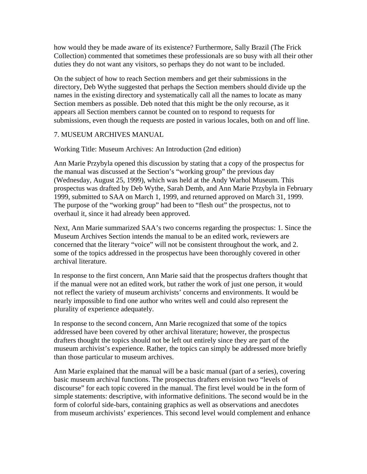how would they be made aware of its existence? Furthermore, Sally Brazil (The Frick Collection) commented that sometimes these professionals are so busy with all their other duties they do not want any visitors, so perhaps they do not want to be included.

On the subject of how to reach Section members and get their submissions in the directory, Deb Wythe suggested that perhaps the Section members should divide up the names in the existing directory and systematically call all the names to locate as many Section members as possible. Deb noted that this might be the only recourse, as it appears all Section members cannot be counted on to respond to requests for submissions, even though the requests are posted in various locales, both on and off line.

# 7. MUSEUM ARCHIVES MANUAL

## Working Title: Museum Archives: An Introduction (2nd edition)

Ann Marie Przybyla opened this discussion by stating that a copy of the prospectus for the manual was discussed at the Section's "working group" the previous day (Wednesday, August 25, 1999), which was held at the Andy Warhol Museum. This prospectus was drafted by Deb Wythe, Sarah Demb, and Ann Marie Przybyla in February 1999, submitted to SAA on March 1, 1999, and returned approved on March 31, 1999. The purpose of the "working group" had been to "flesh out" the prospectus, not to overhaul it, since it had already been approved.

Next, Ann Marie summarized SAA's two concerns regarding the prospectus: 1. Since the Museum Archives Section intends the manual to be an edited work, reviewers are concerned that the literary "voice" will not be consistent throughout the work, and 2. some of the topics addressed in the prospectus have been thoroughly covered in other archival literature.

In response to the first concern, Ann Marie said that the prospectus drafters thought that if the manual were not an edited work, but rather the work of just one person, it would not reflect the variety of museum archivists' concerns and environments. It would be nearly impossible to find one author who writes well and could also represent the plurality of experience adequately.

In response to the second concern, Ann Marie recognized that some of the topics addressed have been covered by other archival literature; however, the prospectus drafters thought the topics should not be left out entirely since they are part of the museum archivist's experience. Rather, the topics can simply be addressed more briefly than those particular to museum archives.

Ann Marie explained that the manual will be a basic manual (part of a series), covering basic museum archival functions. The prospectus drafters envision two "levels of discourse" for each topic covered in the manual. The first level would be in the form of simple statements: descriptive, with informative definitions. The second would be in the form of colorful side-bars, containing graphics as well as observations and anecdotes from museum archivists' experiences. This second level would complement and enhance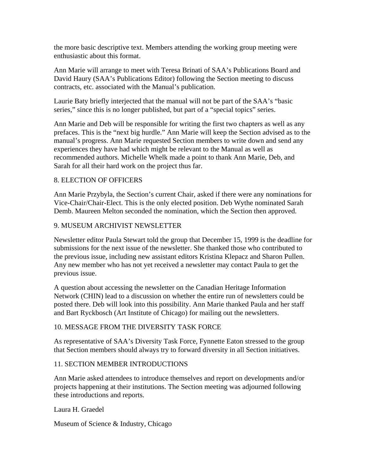the more basic descriptive text. Members attending the working group meeting were enthusiastic about this format.

Ann Marie will arrange to meet with Teresa Brinati of SAA's Publications Board and David Haury (SAA's Publications Editor) following the Section meeting to discuss contracts, etc. associated with the Manual's publication.

Laurie Baty briefly interjected that the manual will not be part of the SAA's "basic series," since this is no longer published, but part of a "special topics" series.

Ann Marie and Deb will be responsible for writing the first two chapters as well as any prefaces. This is the "next big hurdle." Ann Marie will keep the Section advised as to the manual's progress. Ann Marie requested Section members to write down and send any experiences they have had which might be relevant to the Manual as well as recommended authors. Michelle Whelk made a point to thank Ann Marie, Deb, and Sarah for all their hard work on the project thus far.

## 8. ELECTION OF OFFICERS

Ann Marie Przybyla, the Section's current Chair, asked if there were any nominations for Vice-Chair/Chair-Elect. This is the only elected position. Deb Wythe nominated Sarah Demb. Maureen Melton seconded the nomination, which the Section then approved.

# 9. MUSEUM ARCHIVIST NEWSLETTER

Newsletter editor Paula Stewart told the group that December 15, 1999 is the deadline for submissions for the next issue of the newsletter. She thanked those who contributed to the previous issue, including new assistant editors Kristina Klepacz and Sharon Pullen. Any new member who has not yet received a newsletter may contact Paula to get the previous issue.

A question about accessing the newsletter on the Canadian Heritage Information Network (CHIN) lead to a discussion on whether the entire run of newsletters could be posted there. Deb will look into this possibility. Ann Marie thanked Paula and her staff and Bart Ryckbosch (Art Institute of Chicago) for mailing out the newsletters.

## 10. MESSAGE FROM THE DIVERSITY TASK FORCE

As representative of SAA's Diversity Task Force, Fynnette Eaton stressed to the group that Section members should always try to forward diversity in all Section initiatives.

## 11. SECTION MEMBER INTRODUCTIONS

Ann Marie asked attendees to introduce themselves and report on developments and/or projects happening at their institutions. The Section meeting was adjourned following these introductions and reports.

Laura H. Graedel

Museum of Science & Industry, Chicago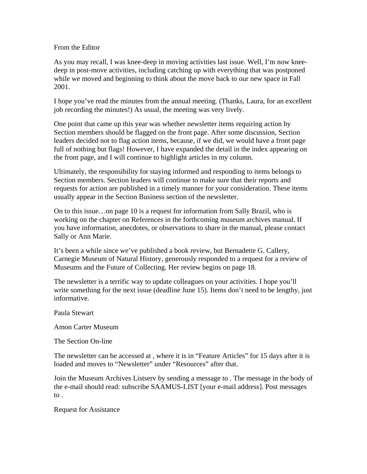## From the Editor

As you may recall, I was knee-deep in moving activities last issue. Well, I'm now kneedeep in post-move activities, including catching up with everything that was postponed while we moved and beginning to think about the move back to our new space in Fall 2001.

I hope you've read the minutes from the annual meeting. (Thanks, Laura, for an excellent job recording the minutes!) As usual, the meeting was very lively.

One point that came up this year was whether newsletter items requiring action by Section members should be flagged on the front page. After some discussion, Section leaders decided not to flag action items, because, if we did, we would have a front page full of nothing but flags! However, I have expanded the detail in the index appearing on the front page, and I will continue to highlight articles in my column.

Ultimately, the responsibility for staying informed and responding to items belongs to Section members. Section leaders will continue to make sure that their reports and requests for action are published in a timely manner for your consideration. These items usually appear in the Section Business section of the newsletter.

On to this issue…on page 10 is a request for information from Sally Brazil, who is working on the chapter on References in the forthcoming museum archives manual. If you have information, anecdotes, or observations to share in the manual, please contact Sally or Ann Marie.

It's been a while since we've published a book review, but Bernadette G. Callery, Carnegie Museum of Natural History, generously responded to a request for a review of Museums and the Future of Collecting. Her review begins on page 18.

The newsletter is a terrific way to update colleagues on your activities. I hope you'll write something for the next issue (deadline June 15). Items don't need to be lengthy, just informative.

Paula Stewart

Amon Carter Museum

The Section On-line

The newsletter can be accessed at , where it is in "Feature Articles" for 15 days after it is loaded and moves to "Newsletter" under "Resources" after that.

Join the Museum Archives Listserv by sending a message to . The message in the body of the e-mail should read: subscribe SAAMUS-LIST [your e-mail address]. Post messages to .

Request for Assistance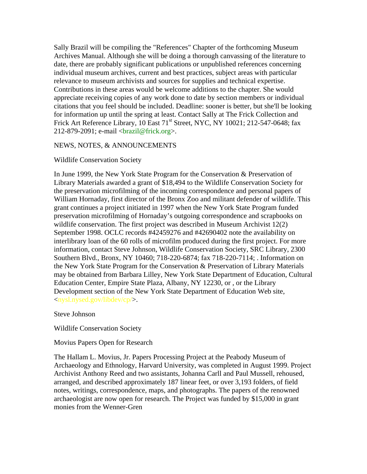Sally Brazil will be compiling the "References" Chapter of the forthcoming Museum Archives Manual. Although she will be doing a thorough canvassing of the literature to date, there are probably significant publications or unpublished references concerning individual museum archives, current and best practices, subject areas with particular relevance to museum archivists and sources for supplies and technical expertise. Contributions in these areas would be welcome additions to the chapter. She would appreciate receiving copies of any work done to date by section members or individual citations that you feel should be included. Deadline: sooner is better, but she'll be looking for information up until the spring at least. Contact Sally at The Frick Collection and Frick Art Reference Library,  $10$  East  $71<sup>st</sup>$  Street, NYC, NY  $10021$ ;  $212-547-0648$ ; fax  $212-879-2091$ ; e-mail  $\langle \text{brazil@frick.org} \rangle$ .

#### NEWS, NOTES, & ANNOUNCEMENTS

#### Wildlife Conservation Society

In June 1999, the New York State Program for the Conservation & Preservation of Library Materials awarded a grant of \$18,494 to the Wildlife Conservation Society for the preservation microfilming of the incoming correspondence and personal papers of William Hornaday, first director of the Bronx Zoo and militant defender of wildlife. This grant continues a project initiated in 1997 when the New York State Program funded preservation microfilming of Hornaday's outgoing correspondence and scrapbooks on wildlife conservation. The first project was described in Museum Archivist 12(2) September 1998. OCLC records #42459276 and #42690402 note the availability on interlibrary loan of the 60 rolls of microfilm produced during the first project. For more information, contact Steve Johnson, Wildlife Conservation Society, SRC Library, 2300 Southern Blvd., Bronx, NY 10460; 718-220-6874; fax 718-220-7114; . Information on the New York State Program for the Conservation & Preservation of Library Materials may be obtained from Barbara Lilley, New York State Department of Education, Cultural Education Center, Empire State Plaza, Albany, NY 12230, or , or the Library Development section of the New York State Department of Education Web site, <nysl.nysed.gov/libdev/cp/>.

Steve Johnson

Wildlife Conservation Society

Movius Papers Open for Research

The Hallam L. Movius, Jr. Papers Processing Project at the Peabody Museum of Archaeology and Ethnology, Harvard University, was completed in August 1999. Project Archivist Anthony Reed and two assistants, Johanna Carll and Paul Mussell, rehoused, arranged, and described approximately 187 linear feet, or over 3,193 folders, of field notes, writings, correspondence, maps, and photographs. The papers of the renowned archaeologist are now open for research. The Project was funded by \$15,000 in grant monies from the Wenner-Gren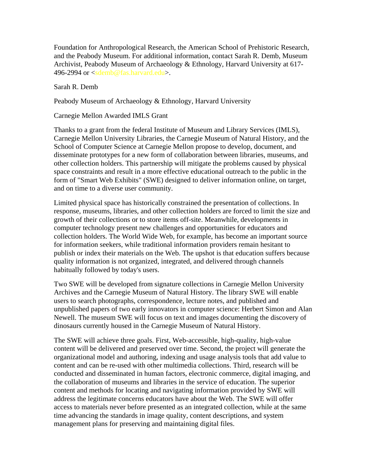Foundation for Anthropological Research, the American School of Prehistoric Research, and the Peabody Museum. For additional information, contact Sarah R. Demb, Museum Archivist, Peabody Museum of Archaeology & Ethnology, Harvard University at 617- 496-2994 or <sdemb@fas.harvard.edu>.

Sarah R. Demb

Peabody Museum of Archaeology & Ethnology, Harvard University

Carnegie Mellon Awarded IMLS Grant

Thanks to a grant from the federal Institute of Museum and Library Services (IMLS), Carnegie Mellon University Libraries, the Carnegie Museum of Natural History, and the School of Computer Science at Carnegie Mellon propose to develop, document, and disseminate prototypes for a new form of collaboration between libraries, museums, and other collection holders. This partnership will mitigate the problems caused by physical space constraints and result in a more effective educational outreach to the public in the form of "Smart Web Exhibits" (SWE) designed to deliver information online, on target, and on time to a diverse user community.

Limited physical space has historically constrained the presentation of collections. In response, museums, libraries, and other collection holders are forced to limit the size and growth of their collections or to store items off-site. Meanwhile, developments in computer technology present new challenges and opportunities for educators and collection holders. The World Wide Web, for example, has become an important source for information seekers, while traditional information providers remain hesitant to publish or index their materials on the Web. The upshot is that education suffers because quality information is not organized, integrated, and delivered through channels habitually followed by today's users.

Two SWE will be developed from signature collections in Carnegie Mellon University Archives and the Carnegie Museum of Natural History. The library SWE will enable users to search photographs, correspondence, lecture notes, and published and unpublished papers of two early innovators in computer science: Herbert Simon and Alan Newell. The museum SWE will focus on text and images documenting the discovery of dinosaurs currently housed in the Carnegie Museum of Natural History.

The SWE will achieve three goals. First, Web-accessible, high-quality, high-value content will be delivered and preserved over time. Second, the project will generate the organizational model and authoring, indexing and usage analysis tools that add value to content and can be re-used with other multimedia collections. Third, research will be conducted and disseminated in human factors, electronic commerce, digital imaging, and the collaboration of museums and libraries in the service of education. The superior content and methods for locating and navigating information provided by SWE will address the legitimate concerns educators have about the Web. The SWE will offer access to materials never before presented as an integrated collection, while at the same time advancing the standards in image quality, content descriptions, and system management plans for preserving and maintaining digital files.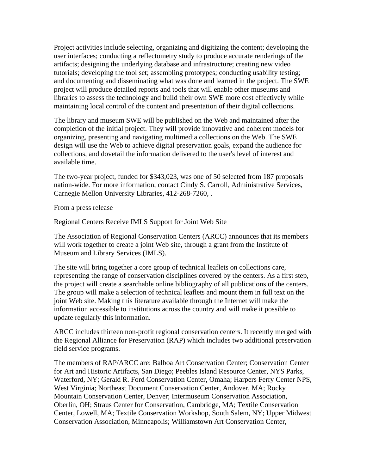Project activities include selecting, organizing and digitizing the content; developing the user interfaces; conducting a reflectometry study to produce accurate renderings of the artifacts; designing the underlying database and infrastructure; creating new video tutorials; developing the tool set; assembling prototypes; conducting usability testing; and documenting and disseminating what was done and learned in the project. The SWE project will produce detailed reports and tools that will enable other museums and libraries to assess the technology and build their own SWE more cost effectively while maintaining local control of the content and presentation of their digital collections.

The library and museum SWE will be published on the Web and maintained after the completion of the initial project. They will provide innovative and coherent models for organizing, presenting and navigating multimedia collections on the Web. The SWE design will use the Web to achieve digital preservation goals, expand the audience for collections, and dovetail the information delivered to the user's level of interest and available time.

The two-year project, funded for \$343,023, was one of 50 selected from 187 proposals nation-wide. For more information, contact Cindy S. Carroll, Administrative Services, Carnegie Mellon University Libraries, 412-268-7260, .

From a press release

Regional Centers Receive IMLS Support for Joint Web Site

The Association of Regional Conservation Centers (ARCC) announces that its members will work together to create a joint Web site, through a grant from the Institute of Museum and Library Services (IMLS).

The site will bring together a core group of technical leaflets on collections care, representing the range of conservation disciplines covered by the centers. As a first step, the project will create a searchable online bibliography of all publications of the centers. The group will make a selection of technical leaflets and mount them in full text on the joint Web site. Making this literature available through the Internet will make the information accessible to institutions across the country and will make it possible to update regularly this information.

ARCC includes thirteen non-profit regional conservation centers. It recently merged with the Regional Alliance for Preservation (RAP) which includes two additional preservation field service programs.

The members of RAP/ARCC are: Balboa Art Conservation Center; Conservation Center for Art and Historic Artifacts, San Diego; Peebles Island Resource Center, NYS Parks, Waterford, NY; Gerald R. Ford Conservation Center, Omaha; Harpers Ferry Center NPS, West Virginia; Northeast Document Conservation Center, Andover, MA; Rocky Mountain Conservation Center, Denver; Intermuseum Conservation Association, Oberlin, OH; Straus Center for Conservation, Cambridge, MA; Textile Conservation Center, Lowell, MA; Textile Conservation Workshop, South Salem, NY; Upper Midwest Conservation Association, Minneapolis; Williamstown Art Conservation Center,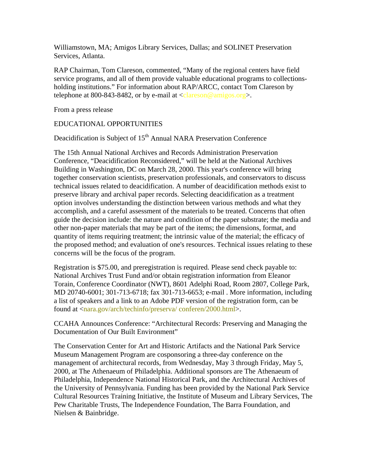Williamstown, MA; Amigos Library Services, Dallas; and SOLINET Preservation Services, Atlanta.

RAP Chairman, Tom Clareson, commented, "Many of the regional centers have field service programs, and all of them provide valuable educational programs to collectionsholding institutions." For information about RAP/ARCC, contact Tom Clareson by telephone at 800-843-8482, or by e-mail at  $\langle \text{classo} \rangle$  amigos.org >.

From a press release

## EDUCATIONAL OPPORTUNITIES

Deacidification is Subject of 15<sup>th</sup> Annual NARA Preservation Conference

The 15th Annual National Archives and Records Administration Preservation Conference, "Deacidification Reconsidered," will be held at the National Archives Building in Washington, DC on March 28, 2000. This year's conference will bring together conservation scientists, preservation professionals, and conservators to discuss technical issues related to deacidification. A number of deacidification methods exist to preserve library and archival paper records. Selecting deacidification as a treatment option involves understanding the distinction between various methods and what they accomplish, and a careful assessment of the materials to be treated. Concerns that often guide the decision include: the nature and condition of the paper substrate; the media and other non-paper materials that may be part of the items; the dimensions, format, and quantity of items requiring treatment; the intrinsic value of the material; the efficacy of the proposed method; and evaluation of one's resources. Technical issues relating to these concerns will be the focus of the program.

Registration is \$75.00, and preregistration is required. Please send check payable to: National Archives Trust Fund and/or obtain registration information from Eleanor Torain, Conference Coordinator (NWT), 8601 Adelphi Road, Room 2807, College Park, MD 20740-6001; 301-713-6718; fax 301-713-6653; e-mail . More information, including a list of speakers and a link to an Adobe PDF version of the registration form, can be found at <nara.gov/arch/techinfo/preserva/ conferen/2000.html>.

CCAHA Announces Conference: "Architectural Records: Preserving and Managing the Documentation of Our Built Environment"

The Conservation Center for Art and Historic Artifacts and the National Park Service Museum Management Program are cosponsoring a three-day conference on the management of architectural records, from Wednesday, May 3 through Friday, May 5, 2000, at The Athenaeum of Philadelphia. Additional sponsors are The Athenaeum of Philadelphia, Independence National Historical Park, and the Architectural Archives of the University of Pennsylvania. Funding has been provided by the National Park Service Cultural Resources Training Initiative, the Institute of Museum and Library Services, The Pew Charitable Trusts, The Independence Foundation, The Barra Foundation, and Nielsen & Bainbridge.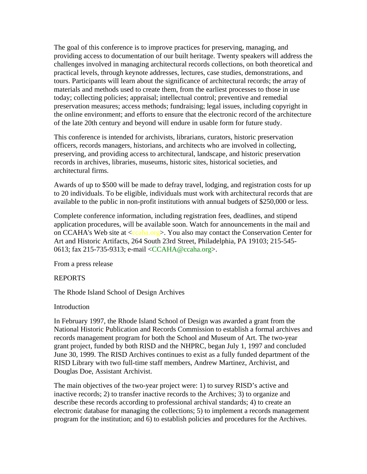The goal of this conference is to improve practices for preserving, managing, and providing access to documentation of our built heritage. Twenty speakers will address the challenges involved in managing architectural records collections, on both theoretical and practical levels, through keynote addresses, lectures, case studies, demonstrations, and tours. Participants will learn about the significance of architectural records; the array of materials and methods used to create them, from the earliest processes to those in use today; collecting policies; appraisal; intellectual control; preventive and remedial preservation measures; access methods; fundraising; legal issues, including copyright in the online environment; and efforts to ensure that the electronic record of the architecture of the late 20th century and beyond will endure in usable form for future study.

This conference is intended for archivists, librarians, curators, historic preservation officers, records managers, historians, and architects who are involved in collecting, preserving, and providing access to architectural, landscape, and historic preservation records in archives, libraries, museums, historic sites, historical societies, and architectural firms.

Awards of up to \$500 will be made to defray travel, lodging, and registration costs for up to 20 individuals. To be eligible, individuals must work with architectural records that are available to the public in non-profit institutions with annual budgets of \$250,000 or less.

Complete conference information, including registration fees, deadlines, and stipend application procedures, will be available soon. Watch for announcements in the mail and on CCAHA's Web site at <ccaha.org>. You also may contact the Conservation Center for Art and Historic Artifacts, 264 South 23rd Street, Philadelphia, PA 19103; 215-545- 0613; fax 215-735-9313; e-mail <CCAHA@ccaha.org>.

From a press release

## REPORTS

The Rhode Island School of Design Archives

## Introduction

In February 1997, the Rhode Island School of Design was awarded a grant from the National Historic Publication and Records Commission to establish a formal archives and records management program for both the School and Museum of Art. The two-year grant project, funded by both RISD and the NHPRC, began July 1, 1997 and concluded June 30, 1999. The RISD Archives continues to exist as a fully funded department of the RISD Library with two full-time staff members, Andrew Martinez, Archivist, and Douglas Doe, Assistant Archivist.

The main objectives of the two-year project were: 1) to survey RISD's active and inactive records; 2) to transfer inactive records to the Archives; 3) to organize and describe these records according to professional archival standards; 4) to create an electronic database for managing the collections; 5) to implement a records management program for the institution; and 6) to establish policies and procedures for the Archives.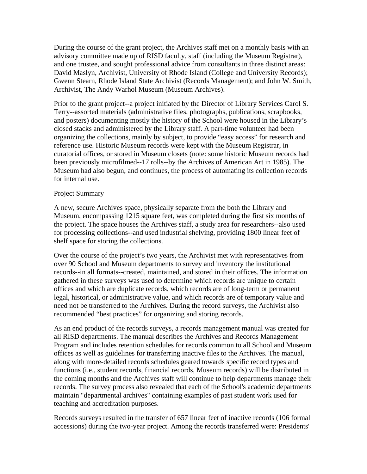During the course of the grant project, the Archives staff met on a monthly basis with an advisory committee made up of RISD faculty, staff (including the Museum Registrar), and one trustee, and sought professional advice from consultants in three distinct areas: David Maslyn, Archivist, University of Rhode Island (College and University Records); Gwenn Stearn, Rhode Island State Archivist (Records Management); and John W. Smith, Archivist, The Andy Warhol Museum (Museum Archives).

Prior to the grant project--a project initiated by the Director of Library Services Carol S. Terry--assorted materials (administrative files, photographs, publications, scrapbooks, and posters) documenting mostly the history of the School were housed in the Library's closed stacks and administered by the Library staff. A part-time volunteer had been organizing the collections, mainly by subject, to provide "easy access" for research and reference use. Historic Museum records were kept with the Museum Registrar, in curatorial offices, or stored in Museum closets (note: some historic Museum records had been previously microfilmed--17 rolls--by the Archives of American Art in 1985). The Museum had also begun, and continues, the process of automating its collection records for internal use.

#### Project Summary

A new, secure Archives space, physically separate from the both the Library and Museum, encompassing 1215 square feet, was completed during the first six months of the project. The space houses the Archives staff, a study area for researchers--also used for processing collections--and used industrial shelving, providing 1800 linear feet of shelf space for storing the collections.

Over the course of the project's two years, the Archivist met with representatives from over 90 School and Museum departments to survey and inventory the institutional records--in all formats--created, maintained, and stored in their offices. The information gathered in these surveys was used to determine which records are unique to certain offices and which are duplicate records, which records are of long-term or permanent legal, historical, or administrative value, and which records are of temporary value and need not be transferred to the Archives. During the record surveys, the Archivist also recommended "best practices" for organizing and storing records.

As an end product of the records surveys, a records management manual was created for all RISD departments. The manual describes the Archives and Records Management Program and includes retention schedules for records common to all School and Museum offices as well as guidelines for transferring inactive files to the Archives. The manual, along with more-detailed records schedules geared towards specific record types and functions (i.e., student records, financial records, Museum records) will be distributed in the coming months and the Archives staff will continue to help departments manage their records. The survey process also revealed that each of the School's academic departments maintain "departmental archives" containing examples of past student work used for teaching and accreditation purposes.

Records surveys resulted in the transfer of 657 linear feet of inactive records (106 formal accessions) during the two-year project. Among the records transferred were: Presidents'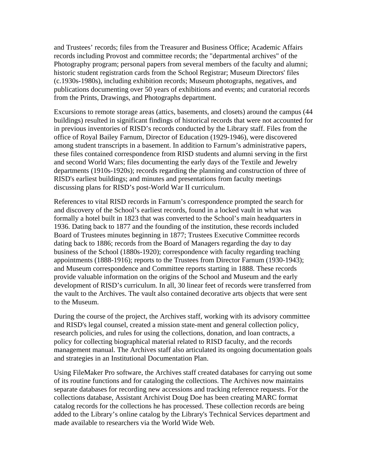and Trustees' records; files from the Treasurer and Business Office; Academic Affairs records including Provost and committee records; the "departmental archives" of the Photography program; personal papers from several members of the faculty and alumni; historic student registration cards from the School Registrar; Museum Directors' files (c.1930s-1980s), including exhibition records; Museum photographs, negatives, and publications documenting over 50 years of exhibitions and events; and curatorial records from the Prints, Drawings, and Photographs department.

Excursions to remote storage areas (attics, basements, and closets) around the campus (44 buildings) resulted in significant findings of historical records that were not accounted for in previous inventories of RISD's records conducted by the Library staff. Files from the office of Royal Bailey Farnum, Director of Education (1929-1946), were discovered among student transcripts in a basement. In addition to Farnum's administrative papers, these files contained correspondence from RISD students and alumni serving in the first and second World Wars; files documenting the early days of the Textile and Jewelry departments (1910s-1920s); records regarding the planning and construction of three of RISD's earliest buildings; and minutes and presentations from faculty meetings discussing plans for RISD's post-World War II curriculum.

References to vital RISD records in Farnum's correspondence prompted the search for and discovery of the School's earliest records, found in a locked vault in what was formally a hotel built in 1823 that was converted to the School's main headquarters in 1936. Dating back to 1877 and the founding of the institution, these records included Board of Trustees minutes beginning in 1877; Trustees Executive Committee records dating back to 1886; records from the Board of Managers regarding the day to day business of the School (1880s-1920); correspondence with faculty regarding teaching appointments (1888-1916); reports to the Trustees from Director Farnum (1930-1943); and Museum correspondence and Committee reports starting in 1888. These records provide valuable information on the origins of the School and Museum and the early development of RISD's curriculum. In all, 30 linear feet of records were transferred from the vault to the Archives. The vault also contained decorative arts objects that were sent to the Museum.

During the course of the project, the Archives staff, working with its advisory committee and RISD's legal counsel, created a mission state-ment and general collection policy, research policies, and rules for using the collections, donation, and loan contracts, a policy for collecting biographical material related to RISD faculty, and the records management manual. The Archives staff also articulated its ongoing documentation goals and strategies in an Institutional Documentation Plan.

Using FileMaker Pro software, the Archives staff created databases for carrying out some of its routine functions and for cataloging the collections. The Archives now maintains separate databases for recording new accessions and tracking reference requests. For the collections database, Assistant Archivist Doug Doe has been creating MARC format catalog records for the collections he has processed. These collection records are being added to the Library's online catalog by the Library's Technical Services department and made available to researchers via the World Wide Web.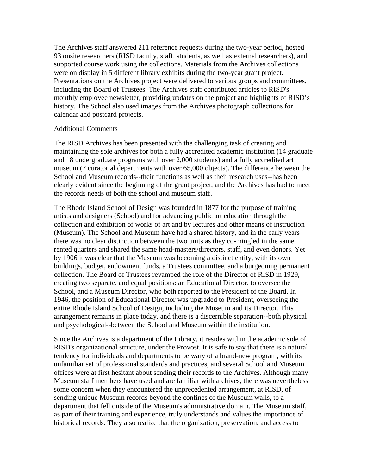The Archives staff answered 211 reference requests during the two-year period, hosted 93 onsite researchers (RISD faculty, staff, students, as well as external researchers), and supported course work using the collections. Materials from the Archives collections were on display in 5 different library exhibits during the two-year grant project. Presentations on the Archives project were delivered to various groups and committees, including the Board of Trustees. The Archives staff contributed articles to RISD's monthly employee newsletter, providing updates on the project and highlights of RISD's history. The School also used images from the Archives photograph collections for calendar and postcard projects.

#### Additional Comments

The RISD Archives has been presented with the challenging task of creating and maintaining the sole archives for both a fully accredited academic institution (14 graduate and 18 undergraduate programs with over 2,000 students) and a fully accredited art museum (7 curatorial departments with over 65,000 objects). The difference between the School and Museum records--their functions as well as their research uses--has been clearly evident since the beginning of the grant project, and the Archives has had to meet the records needs of both the school and museum staff.

The Rhode Island School of Design was founded in 1877 for the purpose of training artists and designers (School) and for advancing public art education through the collection and exhibition of works of art and by lectures and other means of instruction (Museum). The School and Museum have had a shared history, and in the early years there was no clear distinction between the two units as they co-mingled in the same rented quarters and shared the same head-masters/directors, staff, and even donors. Yet by 1906 it was clear that the Museum was becoming a distinct entity, with its own buildings, budget, endowment funds, a Trustees committee, and a burgeoning permanent collection. The Board of Trustees revamped the role of the Director of RISD in 1929, creating two separate, and equal positions: an Educational Director, to oversee the School, and a Museum Director, who both reported to the President of the Board. In 1946, the position of Educational Director was upgraded to President, overseeing the entire Rhode Island School of Design, including the Museum and its Director. This arrangement remains in place today, and there is a discernible separation--both physical and psychological--between the School and Museum within the institution.

Since the Archives is a department of the Library, it resides within the academic side of RISD's organizational structure, under the Provost. It is safe to say that there is a natural tendency for individuals and departments to be wary of a brand-new program, with its unfamiliar set of professional standards and practices, and several School and Museum offices were at first hesitant about sending their records to the Archives. Although many Museum staff members have used and are familiar with archives, there was nevertheless some concern when they encountered the unprecedented arrangement, at RISD, of sending unique Museum records beyond the confines of the Museum walls, to a department that fell outside of the Museum's administrative domain. The Museum staff, as part of their training and experience, truly understands and values the importance of historical records. They also realize that the organization, preservation, and access to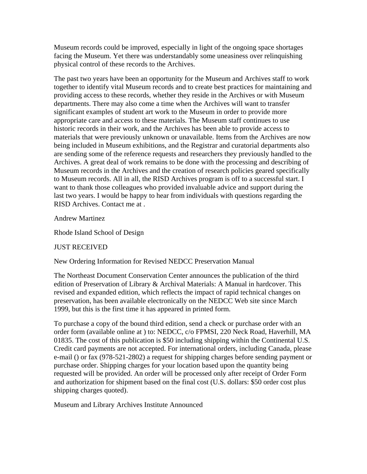Museum records could be improved, especially in light of the ongoing space shortages facing the Museum. Yet there was understandably some uneasiness over relinquishing physical control of these records to the Archives.

The past two years have been an opportunity for the Museum and Archives staff to work together to identify vital Museum records and to create best practices for maintaining and providing access to these records, whether they reside in the Archives or with Museum departments. There may also come a time when the Archives will want to transfer significant examples of student art work to the Museum in order to provide more appropriate care and access to these materials. The Museum staff continues to use historic records in their work, and the Archives has been able to provide access to materials that were previously unknown or unavailable. Items from the Archives are now being included in Museum exhibitions, and the Registrar and curatorial departments also are sending some of the reference requests and researchers they previously handled to the Archives. A great deal of work remains to be done with the processing and describing of Museum records in the Archives and the creation of research policies geared specifically to Museum records. All in all, the RISD Archives program is off to a successful start. I want to thank those colleagues who provided invaluable advice and support during the last two years. I would be happy to hear from individuals with questions regarding the RISD Archives. Contact me at .

Andrew Martinez

Rhode Island School of Design

## JUST RECEIVED

New Ordering Information for Revised NEDCC Preservation Manual

The Northeast Document Conservation Center announces the publication of the third edition of Preservation of Library & Archival Materials: A Manual in hardcover. This revised and expanded edition, which reflects the impact of rapid technical changes on preservation, has been available electronically on the NEDCC Web site since March 1999, but this is the first time it has appeared in printed form.

To purchase a copy of the bound third edition, send a check or purchase order with an order form (available online at ) to: NEDCC, c/o FPMSI, 220 Neck Road, Haverhill, MA 01835. The cost of this publication is \$50 including shipping within the Continental U.S. Credit card payments are not accepted. For international orders, including Canada, please e-mail () or fax (978-521-2802) a request for shipping charges before sending payment or purchase order. Shipping charges for your location based upon the quantity being requested will be provided. An order will be processed only after receipt of Order Form and authorization for shipment based on the final cost (U.S. dollars: \$50 order cost plus shipping charges quoted).

Museum and Library Archives Institute Announced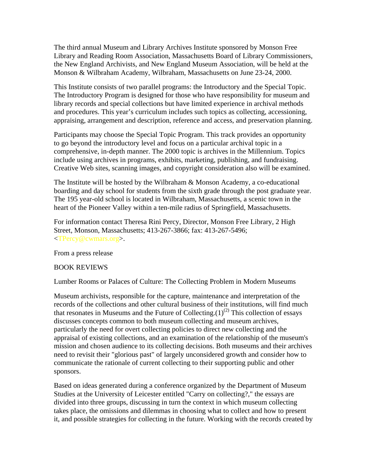The third annual Museum and Library Archives Institute sponsored by Monson Free Library and Reading Room Association, Massachusetts Board of Library Commissioners, the New England Archivists, and New England Museum Association, will be held at the Monson & Wilbraham Academy, Wilbraham, Massachusetts on June 23-24, 2000.

This Institute consists of two parallel programs: the Introductory and the Special Topic. The Introductory Program is designed for those who have responsibility for museum and library records and special collections but have limited experience in archival methods and procedures. This year's curriculum includes such topics as collecting, accessioning, appraising, arrangement and description, reference and access, and preservation planning.

Participants may choose the Special Topic Program. This track provides an opportunity to go beyond the introductory level and focus on a particular archival topic in a comprehensive, in-depth manner. The 2000 topic is archives in the Millennium. Topics include using archives in programs, exhibits, marketing, publishing, and fundraising. Creative Web sites, scanning images, and copyright consideration also will be examined.

The Institute will be hosted by the Wilbraham  $\&$  Monson Academy, a co-educational boarding and day school for students from the sixth grade through the post graduate year. The 195 year-old school is located in Wilbraham, Massachusetts, a scenic town in the heart of the Pioneer Valley within a ten-mile radius of Springfield, Massachusetts.

For information contact Theresa Rini Percy, Director, Monson Free Library, 2 High Street, Monson, Massachusetts; 413-267-3866; fax: 413-267-5496; <TPercy@cwmars.org>.

From a press release

## BOOK REVIEWS

Lumber Rooms or Palaces of Culture: The Collecting Problem in Modern Museums

Museum archivists, responsible for the capture, maintenance and interpretation of the records of the collections and other cultural business of their institutions, will find much that resonates in Museums and the Future of Collecting. $(1)^{(2)}$  This collection of essays discusses concepts common to both museum collecting and museum archives, particularly the need for overt collecting policies to direct new collecting and the appraisal of existing collections, and an examination of the relationship of the museum's mission and chosen audience to its collecting decisions. Both museums and their archives need to revisit their "glorious past" of largely unconsidered growth and consider how to communicate the rationale of current collecting to their supporting public and other sponsors.

Based on ideas generated during a conference organized by the Department of Museum Studies at the University of Leicester entitled "Carry on collecting?," the essays are divided into three groups, discussing in turn the context in which museum collecting takes place, the omissions and dilemmas in choosing what to collect and how to present it, and possible strategies for collecting in the future. Working with the records created by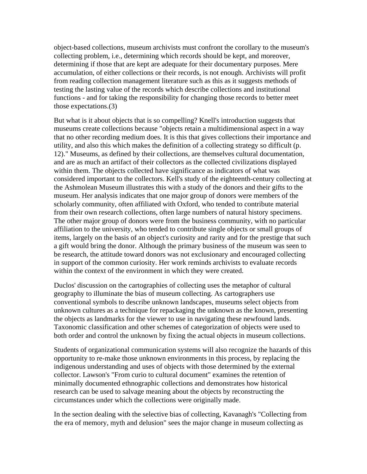object-based collections, museum archivists must confront the corollary to the museum's collecting problem, i.e., determining which records should be kept, and moreover, determining if those that are kept are adequate for their documentary purposes. Mere accumulation, of either collections or their records, is not enough. Archivists will profit from reading collection management literature such as this as it suggests methods of testing the lasting value of the records which describe collections and institutional functions - and for taking the responsibility for changing those records to better meet those expectations.(3)

But what is it about objects that is so compelling? Knell's introduction suggests that museums create collections because "objects retain a multidimensional aspect in a way that no other recording medium does. It is this that gives collections their importance and utility, and also this which makes the definition of a collecting strategy so difficult (p. 12)." Museums, as defined by their collections, are themselves cultural documentation, and are as much an artifact of their collectors as the collected civilizations displayed within them. The objects collected have significance as indicators of what was considered important to the collectors. Kell's study of the eighteenth-century collecting at the Ashmolean Museum illustrates this with a study of the donors and their gifts to the museum. Her analysis indicates that one major group of donors were members of the scholarly community, often affiliated with Oxford, who tended to contribute material from their own research collections, often large numbers of natural history specimens. The other major group of donors were from the business community, with no particular affiliation to the university, who tended to contribute single objects or small groups of items, largely on the basis of an object's curiosity and rarity and for the prestige that such a gift would bring the donor. Although the primary business of the museum was seen to be research, the attitude toward donors was not exclusionary and encouraged collecting in support of the common curiosity. Her work reminds archivists to evaluate records within the context of the environment in which they were created.

Duclos' discussion on the cartographies of collecting uses the metaphor of cultural geography to illuminate the bias of museum collecting. As cartographers use conventional symbols to describe unknown landscapes, museums select objects from unknown cultures as a technique for repackaging the unknown as the known, presenting the objects as landmarks for the viewer to use in navigating these newfound lands. Taxonomic classification and other schemes of categorization of objects were used to both order and control the unknown by fixing the actual objects in museum collections.

Students of organizational communication systems will also recognize the hazards of this opportunity to re-make those unknown environments in this process, by replacing the indigenous understanding and uses of objects with those determined by the external collector. Lawson's "From curio to cultural document" examines the retention of minimally documented ethnographic collections and demonstrates how historical research can be used to salvage meaning about the objects by reconstructing the circumstances under which the collections were originally made.

In the section dealing with the selective bias of collecting, Kavanagh's "Collecting from the era of memory, myth and delusion" sees the major change in museum collecting as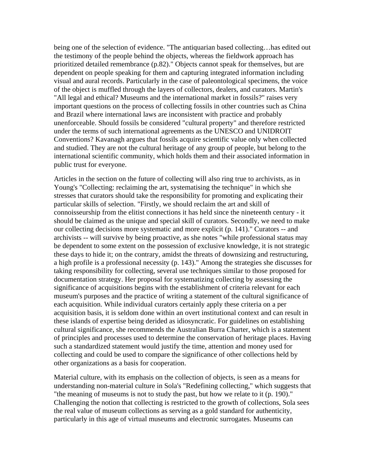being one of the selection of evidence. "The antiquarian based collecting…has edited out the testimony of the people behind the objects, whereas the fieldwork approach has prioritized detailed remembrance (p.82)." Objects cannot speak for themselves, but are dependent on people speaking for them and capturing integrated information including visual and aural records. Particularly in the case of paleontological specimens, the voice of the object is muffled through the layers of collectors, dealers, and curators. Martin's "All legal and ethical? Museums and the international market in fossils?" raises very important questions on the process of collecting fossils in other countries such as China and Brazil where international laws are inconsistent with practice and probably unenforceable. Should fossils be considered "cultural property" and therefore restricted under the terms of such international agreements as the UNESCO and UNIDROIT Conventions? Kavanagh argues that fossils acquire scientific value only when collected and studied. They are not the cultural heritage of any group of people, but belong to the international scientific community, which holds them and their associated information in public trust for everyone.

Articles in the section on the future of collecting will also ring true to archivists, as in Young's "Collecting: reclaiming the art, systematising the technique" in which she stresses that curators should take the responsibility for promoting and explicating their particular skills of selection. "Firstly, we should reclaim the art and skill of connoisseurship from the elitist connections it has held since the nineteenth century - it should be claimed as the unique and special skill of curators. Secondly, we need to make our collecting decisions more systematic and more explicit (p. 141)." Curators -- and archivists -- will survive by being proactive, as she notes "while professional status may be dependent to some extent on the possession of exclusive knowledge, it is not strategic these days to hide it; on the contrary, amidst the threats of downsizing and restructuring, a high profile is a professional necessity (p. 143)." Among the strategies she discusses for taking responsibility for collecting, several use techniques similar to those proposed for documentation strategy. Her proposal for systematizing collecting by assessing the significance of acquisitions begins with the establishment of criteria relevant for each museum's purposes and the practice of writing a statement of the cultural significance of each acquisition. While individual curators certainly apply these criteria on a per acquisition basis, it is seldom done within an overt institutional context and can result in these islands of expertise being derided as idiosyncratic. For guidelines on establishing cultural significance, she recommends the Australian Burra Charter, which is a statement of principles and processes used to determine the conservation of heritage places. Having such a standardized statement would justify the time, attention and money used for collecting and could be used to compare the significance of other collections held by other organizations as a basis for cooperation.

Material culture, with its emphasis on the collection of objects, is seen as a means for understanding non-material culture in Sola's "Redefining collecting," which suggests that "the meaning of museums is not to study the past, but how we relate to it (p. 190)." Challenging the notion that collecting is restricted to the growth of collections, Sola sees the real value of museum collections as serving as a gold standard for authenticity, particularly in this age of virtual museums and electronic surrogates. Museums can